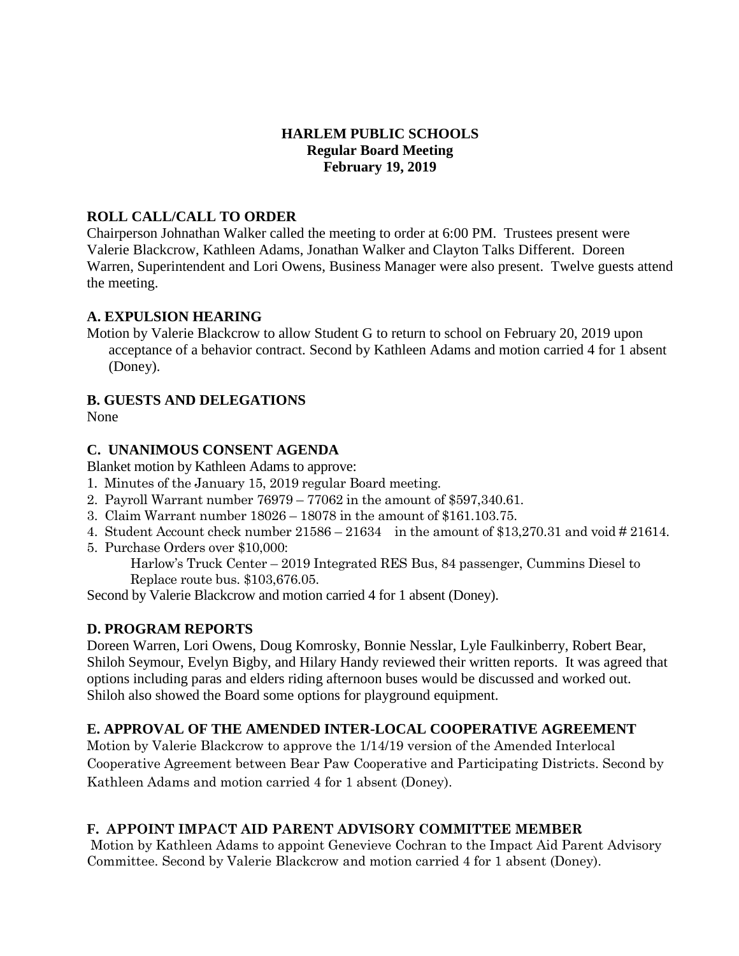### **HARLEM PUBLIC SCHOOLS Regular Board Meeting February 19, 2019**

### **ROLL CALL/CALL TO ORDER**

Chairperson Johnathan Walker called the meeting to order at 6:00 PM. Trustees present were Valerie Blackcrow, Kathleen Adams, Jonathan Walker and Clayton Talks Different. Doreen Warren, Superintendent and Lori Owens, Business Manager were also present. Twelve guests attend the meeting.

#### **A. EXPULSION HEARING**

Motion by Valerie Blackcrow to allow Student G to return to school on February 20, 2019 upon acceptance of a behavior contract. Second by Kathleen Adams and motion carried 4 for 1 absent (Doney).

### **B. GUESTS AND DELEGATIONS**

None

### **C. UNANIMOUS CONSENT AGENDA**

Blanket motion by Kathleen Adams to approve:

- 1. Minutes of the January 15, 2019 regular Board meeting.
- 2. Payroll Warrant number 76979 77062 in the amount of \$597,340.61.
- 3. Claim Warrant number 18026 18078 in the amount of \$161.103.75.
- 4. Student Account check number 21586 21634 in the amount of \$13,270.31 and void # 21614.
- 5. Purchase Orders over \$10,000:

Harlow's Truck Center – 2019 Integrated RES Bus, 84 passenger, Cummins Diesel to Replace route bus. \$103,676.05.

Second by Valerie Blackcrow and motion carried 4 for 1 absent (Doney).

## **D. PROGRAM REPORTS**

Doreen Warren, Lori Owens, Doug Komrosky, Bonnie Nesslar, Lyle Faulkinberry, Robert Bear, Shiloh Seymour, Evelyn Bigby, and Hilary Handy reviewed their written reports. It was agreed that options including paras and elders riding afternoon buses would be discussed and worked out. Shiloh also showed the Board some options for playground equipment.

## **E. APPROVAL OF THE AMENDED INTER-LOCAL COOPERATIVE AGREEMENT**

Motion by Valerie Blackcrow to approve the 1/14/19 version of the Amended Interlocal Cooperative Agreement between Bear Paw Cooperative and Participating Districts. Second by Kathleen Adams and motion carried 4 for 1 absent (Doney).

## **F. APPOINT IMPACT AID PARENT ADVISORY COMMITTEE MEMBER**

Motion by Kathleen Adams to appoint Genevieve Cochran to the Impact Aid Parent Advisory Committee. Second by Valerie Blackcrow and motion carried 4 for 1 absent (Doney).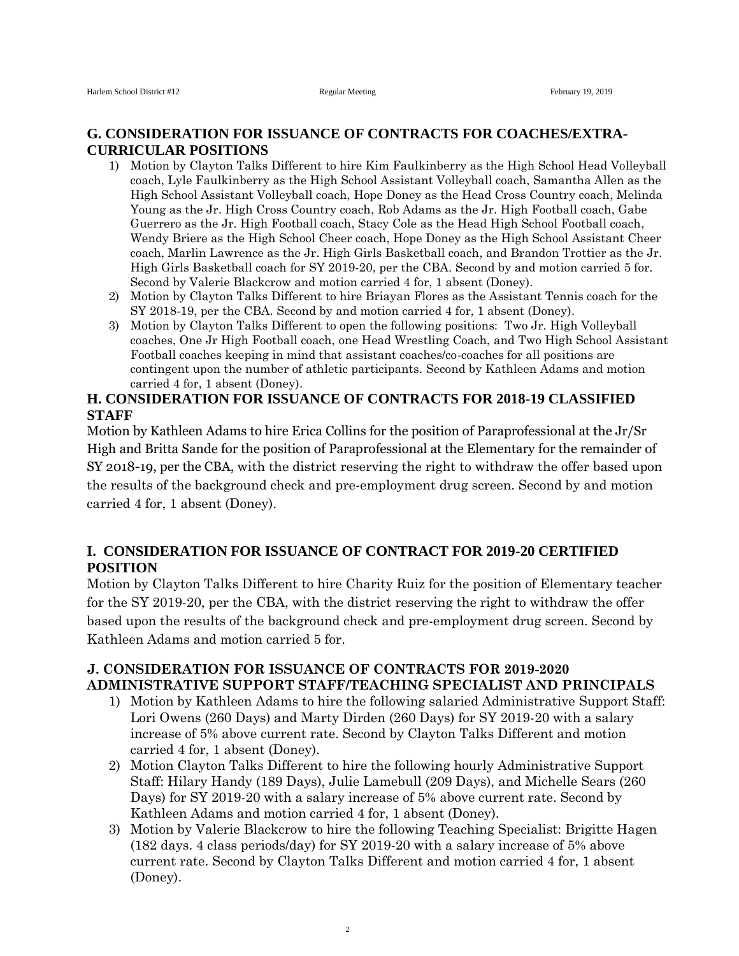#### **G. CONSIDERATION FOR ISSUANCE OF CONTRACTS FOR COACHES/EXTRA-CURRICULAR POSITIONS**

- 1) Motion by Clayton Talks Different to hire Kim Faulkinberry as the High School Head Volleyball coach, Lyle Faulkinberry as the High School Assistant Volleyball coach, Samantha Allen as the High School Assistant Volleyball coach, Hope Doney as the Head Cross Country coach, Melinda Young as the Jr. High Cross Country coach, Rob Adams as the Jr. High Football coach, Gabe Guerrero as the Jr. High Football coach, Stacy Cole as the Head High School Football coach, Wendy Briere as the High School Cheer coach, Hope Doney as the High School Assistant Cheer coach, Marlin Lawrence as the Jr. High Girls Basketball coach, and Brandon Trottier as the Jr. High Girls Basketball coach for SY 2019-20, per the CBA. Second by and motion carried 5 for. Second by Valerie Blackcrow and motion carried 4 for, 1 absent (Doney).
- 2) Motion by Clayton Talks Different to hire Briayan Flores as the Assistant Tennis coach for the SY 2018-19, per the CBA. Second by and motion carried 4 for, 1 absent (Doney).
- 3) Motion by Clayton Talks Different to open the following positions: Two Jr. High Volleyball coaches, One Jr High Football coach, one Head Wrestling Coach, and Two High School Assistant Football coaches keeping in mind that assistant coaches/co-coaches for all positions are contingent upon the number of athletic participants. Second by Kathleen Adams and motion carried 4 for, 1 absent (Doney).

# **H. CONSIDERATION FOR ISSUANCE OF CONTRACTS FOR 2018-19 CLASSIFIED STAFF**

Motion by Kathleen Adams to hire Erica Collins for the position of Paraprofessional at the Jr/Sr High and Britta Sande for the position of Paraprofessional at the Elementary for the remainder of SY 2018-19, per the CBA, with the district reserving the right to withdraw the offer based upon the results of the background check and pre-employment drug screen. Second by and motion carried 4 for, 1 absent (Doney).

# **I. CONSIDERATION FOR ISSUANCE OF CONTRACT FOR 2019-20 CERTIFIED POSITION**

Motion by Clayton Talks Different to hire Charity Ruiz for the position of Elementary teacher for the SY 2019-20, per the CBA, with the district reserving the right to withdraw the offer based upon the results of the background check and pre-employment drug screen. Second by Kathleen Adams and motion carried 5 for.

### **J. CONSIDERATION FOR ISSUANCE OF CONTRACTS FOR 2019-2020 ADMINISTRATIVE SUPPORT STAFF/TEACHING SPECIALIST AND PRINCIPALS**

- 1) Motion by Kathleen Adams to hire the following salaried Administrative Support Staff: Lori Owens (260 Days) and Marty Dirden (260 Days) for SY 2019-20 with a salary increase of 5% above current rate. Second by Clayton Talks Different and motion carried 4 for, 1 absent (Doney).
- 2) Motion Clayton Talks Different to hire the following hourly Administrative Support Staff: Hilary Handy (189 Days), Julie Lamebull (209 Days), and Michelle Sears (260 Days) for SY 2019-20 with a salary increase of 5% above current rate. Second by Kathleen Adams and motion carried 4 for, 1 absent (Doney).
- 3) Motion by Valerie Blackcrow to hire the following Teaching Specialist: Brigitte Hagen (182 days. 4 class periods/day) for SY 2019-20 with a salary increase of 5% above current rate. Second by Clayton Talks Different and motion carried 4 for, 1 absent (Doney).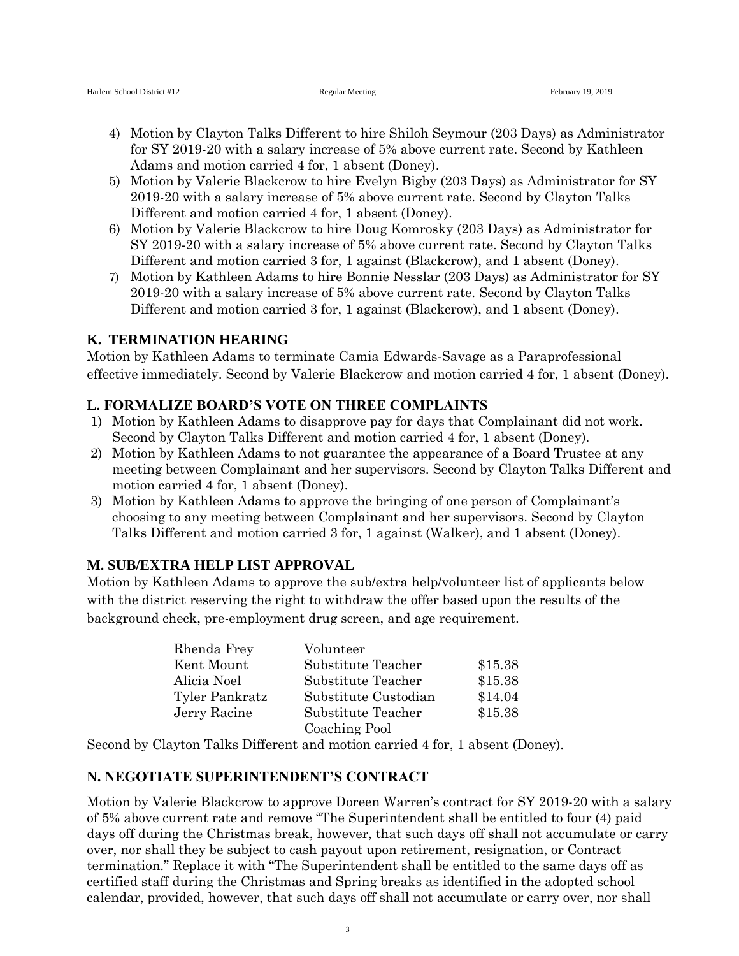- 4) Motion by Clayton Talks Different to hire Shiloh Seymour (203 Days) as Administrator for SY 2019-20 with a salary increase of 5% above current rate. Second by Kathleen Adams and motion carried 4 for, 1 absent (Doney).
- 5) Motion by Valerie Blackcrow to hire Evelyn Bigby (203 Days) as Administrator for SY 2019-20 with a salary increase of 5% above current rate. Second by Clayton Talks Different and motion carried 4 for, 1 absent (Doney).
- 6) Motion by Valerie Blackcrow to hire Doug Komrosky (203 Days) as Administrator for SY 2019-20 with a salary increase of 5% above current rate. Second by Clayton Talks Different and motion carried 3 for, 1 against (Blackcrow), and 1 absent (Doney).
- 7) Motion by Kathleen Adams to hire Bonnie Nesslar (203 Days) as Administrator for SY 2019-20 with a salary increase of 5% above current rate. Second by Clayton Talks Different and motion carried 3 for, 1 against (Blackcrow), and 1 absent (Doney).

### **K. TERMINATION HEARING**

Motion by Kathleen Adams to terminate Camia Edwards-Savage as a Paraprofessional effective immediately. Second by Valerie Blackcrow and motion carried 4 for, 1 absent (Doney).

### **L. FORMALIZE BOARD'S VOTE ON THREE COMPLAINTS**

- 1) Motion by Kathleen Adams to disapprove pay for days that Complainant did not work. Second by Clayton Talks Different and motion carried 4 for, 1 absent (Doney).
- 2) Motion by Kathleen Adams to not guarantee the appearance of a Board Trustee at any meeting between Complainant and her supervisors. Second by Clayton Talks Different and motion carried 4 for, 1 absent (Doney).
- 3) Motion by Kathleen Adams to approve the bringing of one person of Complainant's choosing to any meeting between Complainant and her supervisors. Second by Clayton Talks Different and motion carried 3 for, 1 against (Walker), and 1 absent (Doney).

## **M. SUB/EXTRA HELP LIST APPROVAL**

Motion by Kathleen Adams to approve the sub/extra help/volunteer list of applicants below with the district reserving the right to withdraw the offer based upon the results of the background check, pre-employment drug screen, and age requirement.

| Rhenda Frey    | Volunteer            |         |
|----------------|----------------------|---------|
| Kent Mount     | Substitute Teacher   | \$15.38 |
| Alicia Noel    | Substitute Teacher   | \$15.38 |
| Tyler Pankratz | Substitute Custodian | \$14.04 |
| Jerry Racine   | Substitute Teacher   | \$15.38 |
|                | Coaching Pool        |         |

Second by Clayton Talks Different and motion carried 4 for, 1 absent (Doney).

#### **N. NEGOTIATE SUPERINTENDENT'S CONTRACT**

Motion by Valerie Blackcrow to approve Doreen Warren's contract for SY 2019-20 with a salary of 5% above current rate and remove "The Superintendent shall be entitled to four (4) paid days off during the Christmas break, however, that such days off shall not accumulate or carry over, nor shall they be subject to cash payout upon retirement, resignation, or Contract termination." Replace it with "The Superintendent shall be entitled to the same days off as certified staff during the Christmas and Spring breaks as identified in the adopted school calendar, provided, however, that such days off shall not accumulate or carry over, nor shall